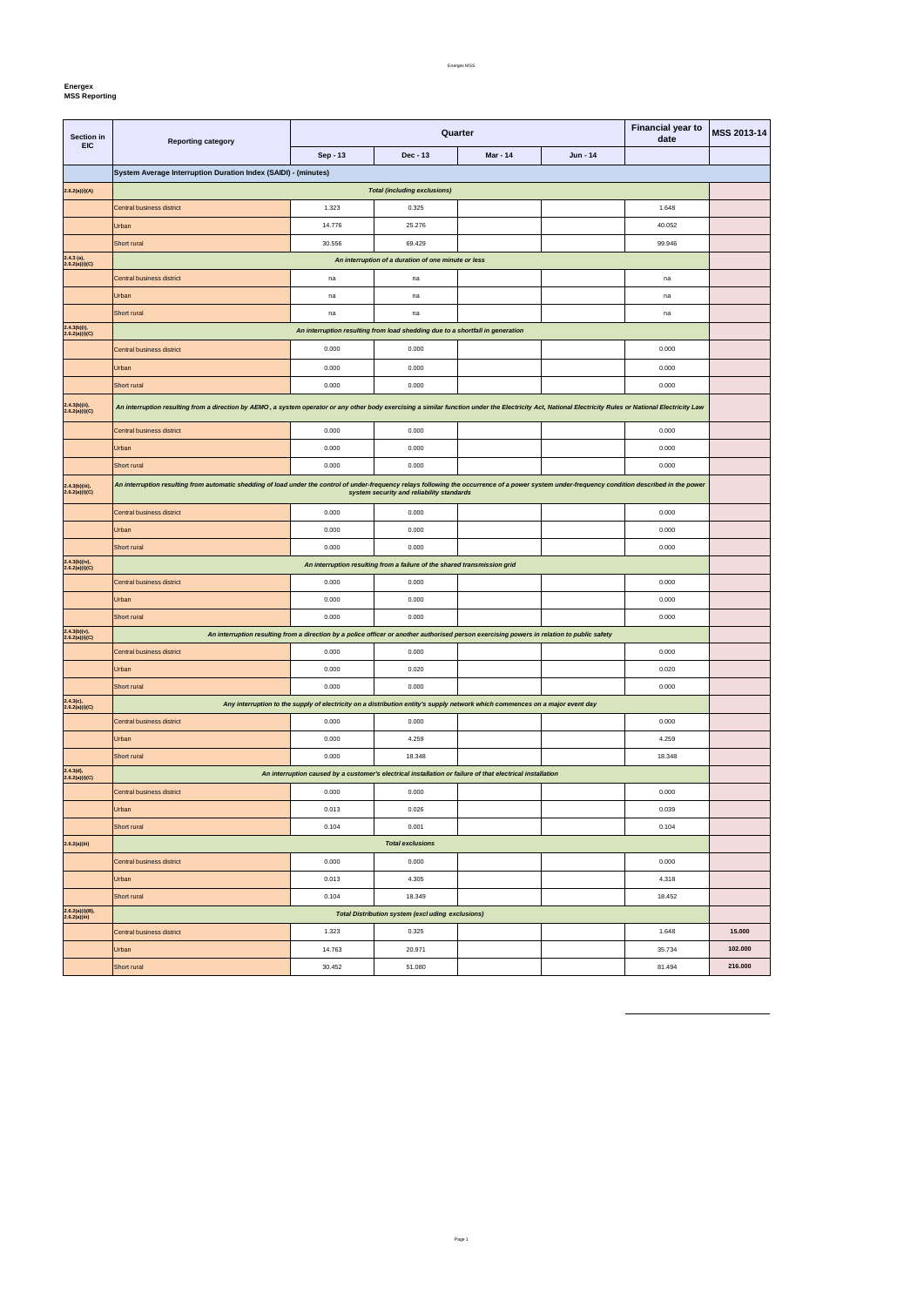**Energex MSS Reporting** 

| Section in<br><b>EIC</b>            | <b>Reporting category</b>                                                                                                                                                                               |                                                                                                                              | Quarter                                                                       | <b>Financial year to</b><br>date | MSS 2013-14 |        |         |  |  |  |
|-------------------------------------|---------------------------------------------------------------------------------------------------------------------------------------------------------------------------------------------------------|------------------------------------------------------------------------------------------------------------------------------|-------------------------------------------------------------------------------|----------------------------------|-------------|--------|---------|--|--|--|
|                                     |                                                                                                                                                                                                         | Sep - 13                                                                                                                     | Dec - 13                                                                      | <b>Mar - 14</b>                  | Jun - 14    |        |         |  |  |  |
|                                     | System Average Interruption Duration Index (SAIDI) - (minutes)                                                                                                                                          |                                                                                                                              |                                                                               |                                  |             |        |         |  |  |  |
| 2.6.2(a)(i)(A)                      | <b>Total (including exclusions)</b>                                                                                                                                                                     |                                                                                                                              |                                                                               |                                  |             |        |         |  |  |  |
|                                     | Central business district                                                                                                                                                                               | 1.323                                                                                                                        | 0.325                                                                         |                                  |             | 1.648  |         |  |  |  |
|                                     | Urban                                                                                                                                                                                                   | 14.776                                                                                                                       | 25.276                                                                        |                                  |             | 40.052 |         |  |  |  |
|                                     | Short rural                                                                                                                                                                                             | 30.556                                                                                                                       | 69.429                                                                        |                                  |             | 99.946 |         |  |  |  |
| $2.4.3$ (a),<br>2.6.2(a)(i)(C)      |                                                                                                                                                                                                         | An interruption of a duration of one minute or less                                                                          |                                                                               |                                  |             |        |         |  |  |  |
|                                     | <b>Central business district</b>                                                                                                                                                                        | na                                                                                                                           | na                                                                            |                                  |             | na     |         |  |  |  |
|                                     | Urban                                                                                                                                                                                                   | na                                                                                                                           | na                                                                            |                                  |             | na     |         |  |  |  |
|                                     | Short rural                                                                                                                                                                                             | na                                                                                                                           | na                                                                            |                                  |             | na     |         |  |  |  |
| 2.4.3(b)(i),<br>2.6.2(a)(i)(C)      |                                                                                                                                                                                                         |                                                                                                                              | An interruption resulting from load shedding due to a shortfall in generation |                                  |             |        |         |  |  |  |
|                                     | <b>Central business district</b>                                                                                                                                                                        | 0.000                                                                                                                        | 0.000                                                                         |                                  |             | 0.000  |         |  |  |  |
|                                     | Urban                                                                                                                                                                                                   | 0.000                                                                                                                        | 0.000                                                                         |                                  |             | 0.000  |         |  |  |  |
|                                     | Short rural                                                                                                                                                                                             | 0.000                                                                                                                        | 0.000                                                                         |                                  |             | 0.000  |         |  |  |  |
| 2.4.3(b)(ii),                       |                                                                                                                                                                                                         |                                                                                                                              |                                                                               |                                  |             |        |         |  |  |  |
| 2.6.2(a)(i)(C)                      | An interruption resulting from a direction by AEMO, a system operator or any other body exercising a similar function under the Electricity Act, National Electricity Rules or National Electricity Law |                                                                                                                              |                                                                               |                                  |             |        |         |  |  |  |
|                                     | <b>Central business district</b>                                                                                                                                                                        | 0.000                                                                                                                        | 0.000                                                                         |                                  |             | 0.000  |         |  |  |  |
|                                     | Urban                                                                                                                                                                                                   | 0.000                                                                                                                        | 0.000                                                                         |                                  |             | 0.000  |         |  |  |  |
|                                     | Short rural                                                                                                                                                                                             | 0.000                                                                                                                        | 0.000                                                                         |                                  |             | 0.000  |         |  |  |  |
| 2.4.3(b)(iii),<br>2.6.2(a)(i)(C)    | An interruption resulting from automatic shedding of load under the control of under-frequency relays following the occurrence of a power system under-frequency condition described in the power       |                                                                                                                              | system security and reliability standards                                     |                                  |             |        |         |  |  |  |
|                                     | <b>Central business district</b>                                                                                                                                                                        | 0.000                                                                                                                        | 0.000                                                                         |                                  |             | 0.000  |         |  |  |  |
|                                     | Urban                                                                                                                                                                                                   | 0.000                                                                                                                        | 0.000                                                                         |                                  |             | 0.000  |         |  |  |  |
|                                     | Short rural                                                                                                                                                                                             | 0.000                                                                                                                        | 0.000                                                                         |                                  |             | 0.000  |         |  |  |  |
| $2.4.3(b)(iv),$<br>$2.6.2(a)(i)(C)$ |                                                                                                                                                                                                         |                                                                                                                              | An interruption resulting from a failure of the shared transmission grid      |                                  |             |        |         |  |  |  |
|                                     | Central business district                                                                                                                                                                               | 0.000                                                                                                                        | 0.000                                                                         |                                  |             | 0.000  |         |  |  |  |
|                                     | Urban                                                                                                                                                                                                   | 0.000                                                                                                                        | 0.000                                                                         |                                  |             | 0.000  |         |  |  |  |
|                                     | Short rural                                                                                                                                                                                             | 0.000                                                                                                                        | 0.000                                                                         |                                  |             | 0.000  |         |  |  |  |
| $2.4.3(b)(v),$<br>2.6.2(a)(i)(C)    | An interruption resulting from a direction by a police officer or another authorised person exercising powers in relation to public safety                                                              |                                                                                                                              |                                                                               |                                  |             |        |         |  |  |  |
|                                     | Central business district                                                                                                                                                                               | 0.000                                                                                                                        | 0.000                                                                         |                                  |             | 0.000  |         |  |  |  |
|                                     | Urban                                                                                                                                                                                                   | 0.000                                                                                                                        | 0.020                                                                         |                                  |             | 0.020  |         |  |  |  |
|                                     | Short rural                                                                                                                                                                                             | 0.000                                                                                                                        | 0.000                                                                         |                                  |             | 0.000  |         |  |  |  |
| $2.4.3(c),$<br>$2.6.2(a)(i)(C)$     |                                                                                                                                                                                                         | Any interruption to the supply of electricity on a distribution entity's supply network which commences on a major event day |                                                                               |                                  |             |        |         |  |  |  |
|                                     | Central business district                                                                                                                                                                               | 0.000                                                                                                                        | 0.000                                                                         |                                  |             | 0.000  |         |  |  |  |
|                                     | Urban                                                                                                                                                                                                   | 0.000                                                                                                                        | 4.259                                                                         |                                  |             | 4.259  |         |  |  |  |
|                                     | Short rural                                                                                                                                                                                             | 0.000                                                                                                                        | 18.348                                                                        |                                  |             | 18.348 |         |  |  |  |
| 2.4.3(d),<br>2.6.2(a)(i)(C)         |                                                                                                                                                                                                         | An interruption caused by a customer's electrical installation or failure of that electrical installation                    |                                                                               |                                  |             |        |         |  |  |  |
|                                     | Central business district                                                                                                                                                                               | 0.000                                                                                                                        | 0.000                                                                         |                                  |             | 0.000  |         |  |  |  |
|                                     | Urban                                                                                                                                                                                                   | 0.013                                                                                                                        | 0.026                                                                         |                                  |             | 0.039  |         |  |  |  |
|                                     | Short rural                                                                                                                                                                                             | 0.104                                                                                                                        | 0.001                                                                         |                                  |             | 0.104  |         |  |  |  |
| 2.6.2(a)(iii)                       |                                                                                                                                                                                                         |                                                                                                                              | <b>Total exclusions</b>                                                       |                                  |             |        |         |  |  |  |
|                                     | Central business district                                                                                                                                                                               | 0.000                                                                                                                        | 0.000                                                                         |                                  |             | 0.000  |         |  |  |  |
|                                     | Urban                                                                                                                                                                                                   | 0.013                                                                                                                        | 4.305                                                                         |                                  |             | 4.318  |         |  |  |  |
|                                     | Short rural                                                                                                                                                                                             | 0.104                                                                                                                        | 18.349                                                                        |                                  |             | 18.452 |         |  |  |  |
| 2.6.2(a)(i)(B),<br>2.6.2(a)(iii)    |                                                                                                                                                                                                         |                                                                                                                              | <b>Total Distribution system (excluding exclusions)</b>                       |                                  |             |        |         |  |  |  |
|                                     | <b>Central business district</b>                                                                                                                                                                        | 1.323                                                                                                                        | 0.325                                                                         |                                  |             | 1.648  | 15.000  |  |  |  |
|                                     | Urban                                                                                                                                                                                                   | 14.763                                                                                                                       | 20.971                                                                        |                                  |             | 35.734 | 102.000 |  |  |  |
|                                     | Short rural                                                                                                                                                                                             | 30.452                                                                                                                       | 51.080                                                                        |                                  |             | 81.494 | 216.000 |  |  |  |

Page 1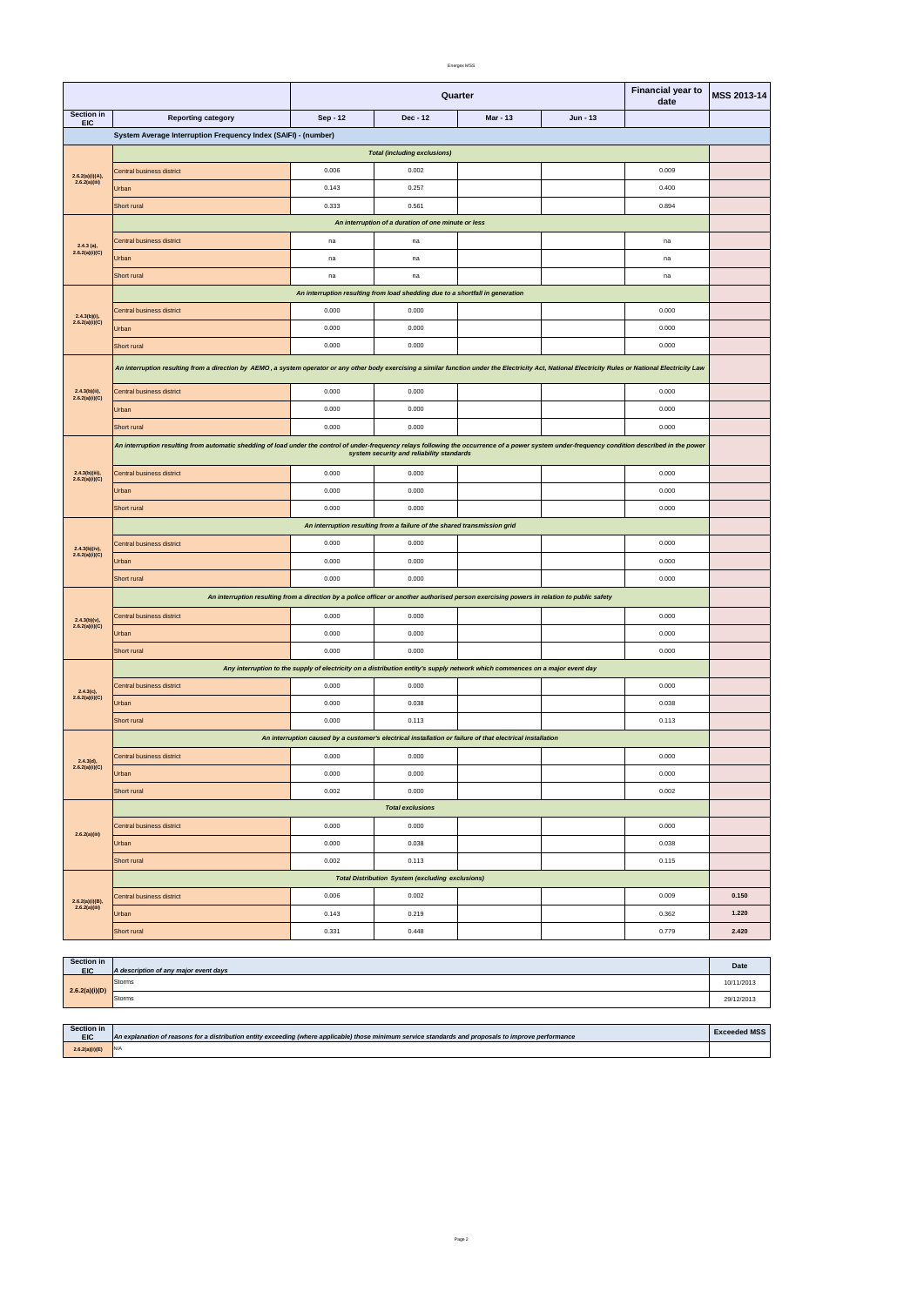| Section in<br><b>EIC</b> | <b>4 description of any major event days</b>  | Date             |
|--------------------------|-----------------------------------------------|------------------|
|                          | Storms<br>the contract of the contract of the | ' " /∪،<br>1/211 |

|                                     |                                                                                                                                                                                                                                                | <b>Financial year to</b><br>Quarter<br>date |                                                                                                                              |                 | MSS 2013-14 |       |       |
|-------------------------------------|------------------------------------------------------------------------------------------------------------------------------------------------------------------------------------------------------------------------------------------------|---------------------------------------------|------------------------------------------------------------------------------------------------------------------------------|-----------------|-------------|-------|-------|
| Section in<br><b>EIC</b>            | <b>Reporting category</b>                                                                                                                                                                                                                      | Sep - 12                                    | Dec - 12                                                                                                                     | <b>Mar - 13</b> | $Jun - 13$  |       |       |
|                                     | System Average Interruption Frequency Index (SAIFI) - (number)                                                                                                                                                                                 |                                             |                                                                                                                              |                 |             |       |       |
| <b>Total (including exclusions)</b> |                                                                                                                                                                                                                                                |                                             |                                                                                                                              |                 |             |       |       |
| 2.6.2(a)(i)(A),                     | Central business district                                                                                                                                                                                                                      | 0.006                                       | 0.002                                                                                                                        |                 |             | 0.009 |       |
| 2.6.2(a)(iii)                       | Urban                                                                                                                                                                                                                                          | 0.143                                       | 0.257                                                                                                                        |                 |             | 0.400 |       |
|                                     | Short rural                                                                                                                                                                                                                                    | 0.333                                       | 0.561                                                                                                                        |                 |             | 0.894 |       |
|                                     | An interruption of a duration of one minute or less                                                                                                                                                                                            |                                             |                                                                                                                              |                 |             |       |       |
| $2.4.3$ (a),                        | Central business district                                                                                                                                                                                                                      | na                                          | na                                                                                                                           |                 |             | na    |       |
| 2.6.2(a)(i)(C)                      | Urban                                                                                                                                                                                                                                          | na                                          | na                                                                                                                           |                 |             | na    |       |
|                                     | Short rural                                                                                                                                                                                                                                    | na                                          | na                                                                                                                           |                 |             | na    |       |
|                                     |                                                                                                                                                                                                                                                |                                             | An interruption resulting from load shedding due to a shortfall in generation                                                |                 |             |       |       |
| $2.4.3(b)(i)$ ,                     | <b>Central business district</b>                                                                                                                                                                                                               | 0.000                                       | 0.000                                                                                                                        |                 |             | 0.000 |       |
| 2.6.2(a)(i)(C)                      | Urban                                                                                                                                                                                                                                          | 0.000                                       | 0.000                                                                                                                        |                 |             | 0.000 |       |
|                                     | Short rural                                                                                                                                                                                                                                    | 0.000                                       | 0.000                                                                                                                        |                 |             | 0.000 |       |
|                                     | An interruption resulting from a direction by AEMO, a system operator or any other body exercising a similar function under the Electricity Act, National Electricity Rules or National Electricity Law                                        |                                             |                                                                                                                              |                 |             |       |       |
|                                     |                                                                                                                                                                                                                                                |                                             |                                                                                                                              |                 |             |       |       |
| $2.4.3(b)(ii)$ ,<br>2.6.2(a)(i)(C)  | Central business district                                                                                                                                                                                                                      | 0.000                                       | 0.000                                                                                                                        |                 |             | 0.000 |       |
|                                     | Urban                                                                                                                                                                                                                                          | 0.000                                       | 0.000                                                                                                                        |                 |             | 0.000 |       |
|                                     | Short rural                                                                                                                                                                                                                                    | 0.000                                       | 0.000                                                                                                                        |                 |             | 0.000 |       |
|                                     | An interruption resulting from automatic shedding of load under the control of under-frequency relays following the occurrence of a power system under-frequency condition described in the power<br>system security and reliability standards |                                             |                                                                                                                              |                 |             |       |       |
| 2.4.3(b)(iii),<br>2.6.2(a)(i)(C)    | Central business district                                                                                                                                                                                                                      | 0.000                                       | 0.000                                                                                                                        |                 |             | 0.000 |       |
|                                     | Urban                                                                                                                                                                                                                                          | 0.000                                       | 0.000                                                                                                                        |                 |             | 0.000 |       |
|                                     | Short rural                                                                                                                                                                                                                                    | 0.000                                       | 0.000                                                                                                                        |                 |             | 0.000 |       |
|                                     |                                                                                                                                                                                                                                                |                                             | An interruption resulting from a failure of the shared transmission grid                                                     |                 |             |       |       |
| 2.4.3(b)(iv),                       | Central business district                                                                                                                                                                                                                      | 0.000                                       | 0.000                                                                                                                        |                 |             | 0.000 |       |
| 2.6.2(a)(i)(C)                      | Urban                                                                                                                                                                                                                                          | 0.000                                       | 0.000                                                                                                                        |                 |             | 0.000 |       |
|                                     | Short rural                                                                                                                                                                                                                                    | 0.000                                       | 0.000                                                                                                                        |                 |             | 0.000 |       |
|                                     | An interruption resulting from a direction by a police officer or another authorised person exercising powers in relation to public safety                                                                                                     |                                             |                                                                                                                              |                 |             |       |       |
| $2.4.3(b)(v),$<br>$2.6.2(a)(i)(C)$  | Central business district                                                                                                                                                                                                                      | 0.000                                       | 0.000                                                                                                                        |                 |             | 0.000 |       |
|                                     | Urban                                                                                                                                                                                                                                          | 0.000                                       | 0.000                                                                                                                        |                 |             | 0.000 |       |
|                                     | Short rural                                                                                                                                                                                                                                    | 0.000                                       | 0.000                                                                                                                        |                 |             | 0.000 |       |
|                                     |                                                                                                                                                                                                                                                |                                             | Any interruption to the supply of electricity on a distribution entity's supply network which commences on a major event day |                 |             |       |       |
| $2.4.3(c)$ ,                        | Central business district                                                                                                                                                                                                                      | 0.000                                       | 0.000                                                                                                                        |                 |             | 0.000 |       |
| 2.6.2(a)(i)(C)                      | Urban                                                                                                                                                                                                                                          | 0.000                                       | 0.038                                                                                                                        |                 |             | 0.038 |       |
|                                     | Short rural                                                                                                                                                                                                                                    | 0.000                                       | 0.113                                                                                                                        |                 |             | 0.113 |       |
|                                     |                                                                                                                                                                                                                                                |                                             | An interruption caused by a customer's electrical installation or failure of that electrical installation                    |                 |             |       |       |
| 2.4.3(d),                           | Central business district                                                                                                                                                                                                                      | 0.000                                       | 0.000                                                                                                                        |                 |             | 0.000 |       |
| 2.6.2(a)(i)(C)                      | Urban                                                                                                                                                                                                                                          | 0.000                                       | 0.000                                                                                                                        |                 |             | 0.000 |       |
|                                     | Short rural                                                                                                                                                                                                                                    | 0.002                                       | 0.000                                                                                                                        |                 |             | 0.002 |       |
|                                     |                                                                                                                                                                                                                                                |                                             | <b>Total exclusions</b>                                                                                                      |                 |             |       |       |
| 2.6.2(a)(iii)                       | Central business district                                                                                                                                                                                                                      | 0.000                                       | 0.000                                                                                                                        |                 |             | 0.000 |       |
|                                     | Urban                                                                                                                                                                                                                                          | 0.000                                       | 0.038                                                                                                                        |                 |             | 0.038 |       |
|                                     | Short rural                                                                                                                                                                                                                                    | 0.002                                       | 0.113                                                                                                                        |                 |             | 0.115 |       |
|                                     |                                                                                                                                                                                                                                                |                                             | <b>Total Distribution System (excluding exclusions)</b>                                                                      |                 |             |       |       |
| 2.6.2(a)(i)(B),                     | Central business district                                                                                                                                                                                                                      | 0.006                                       | 0.002                                                                                                                        |                 |             | 0.009 | 0.150 |
| 2.6.2(a)(iii)                       | Urban                                                                                                                                                                                                                                          | 0.143                                       | 0.219                                                                                                                        |                 |             | 0.362 | 1.220 |
|                                     | Short rural                                                                                                                                                                                                                                    | 0.331                                       | 0.448                                                                                                                        |                 |             | 0.779 | 2.420 |

| 2.6.2(a)(i)(D) | Storms | 9/12/2013 |
|----------------|--------|-----------|
|                |        |           |

| Section in     |                                                                                                                                                       | <b>Exceeded MSS</b> |
|----------------|-------------------------------------------------------------------------------------------------------------------------------------------------------|---------------------|
| <b>EIC</b>     | An explanation of reasons for a distribution entity exceeding (where applicable) those minimum service standards and proposals to improve performance |                     |
| 2.6.2(a)(i)(E) | N/A                                                                                                                                                   |                     |

Page 2